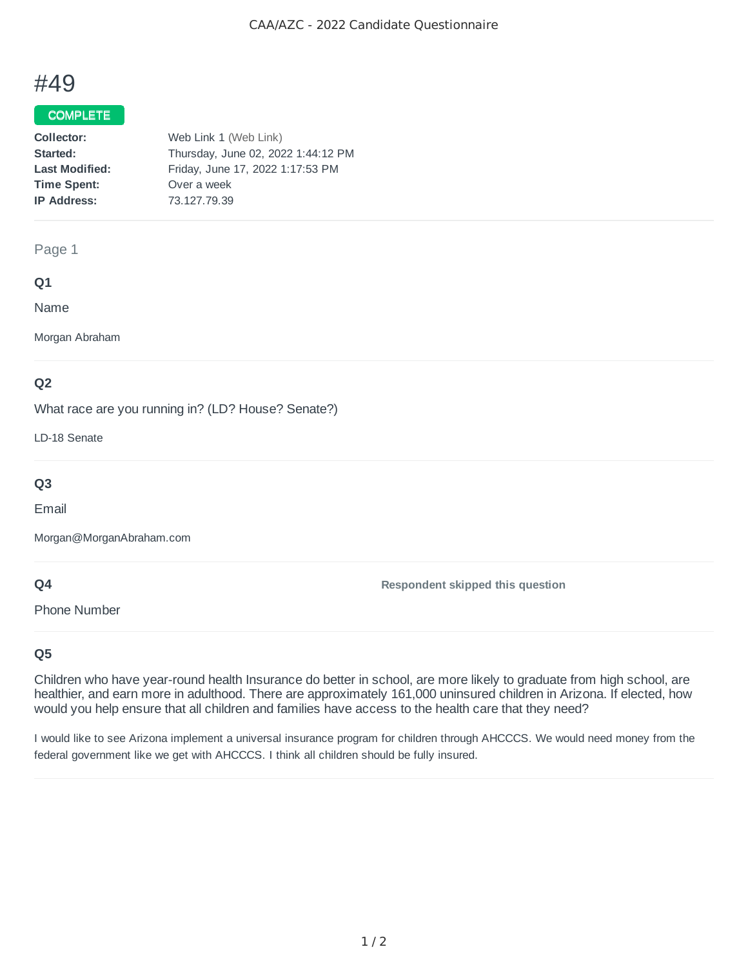# #49

## COMPLETE

| Collector:            | Web Link 1 (Web Link)              |
|-----------------------|------------------------------------|
| Started:              | Thursday, June 02, 2022 1:44:12 PM |
| <b>Last Modified:</b> | Friday, June 17, 2022 1:17:53 PM   |
| <b>Time Spent:</b>    | Over a week                        |
| <b>IP Address:</b>    | 73.127.79.39                       |
|                       |                                    |

#### Page 1

## **Q1**

Name

Morgan Abraham

## **Q2**

What race are you running in? (LD? House? Senate?)

LD-18 Senate

## **Q3**

Email

Morgan@MorganAbraham.com

## **Q4**

Phone Number

**Respondent skipped this question**

## **Q5**

Children who have year-round health Insurance do better in school, are more likely to graduate from high school, are healthier, and earn more in adulthood. There are approximately 161,000 uninsured children in Arizona. If elected, how would you help ensure that all children and families have access to the health care that they need?

I would like to see Arizona implement a universal insurance program for children through AHCCCS. We would need money from the federal government like we get with AHCCCS. I think all children should be fully insured.